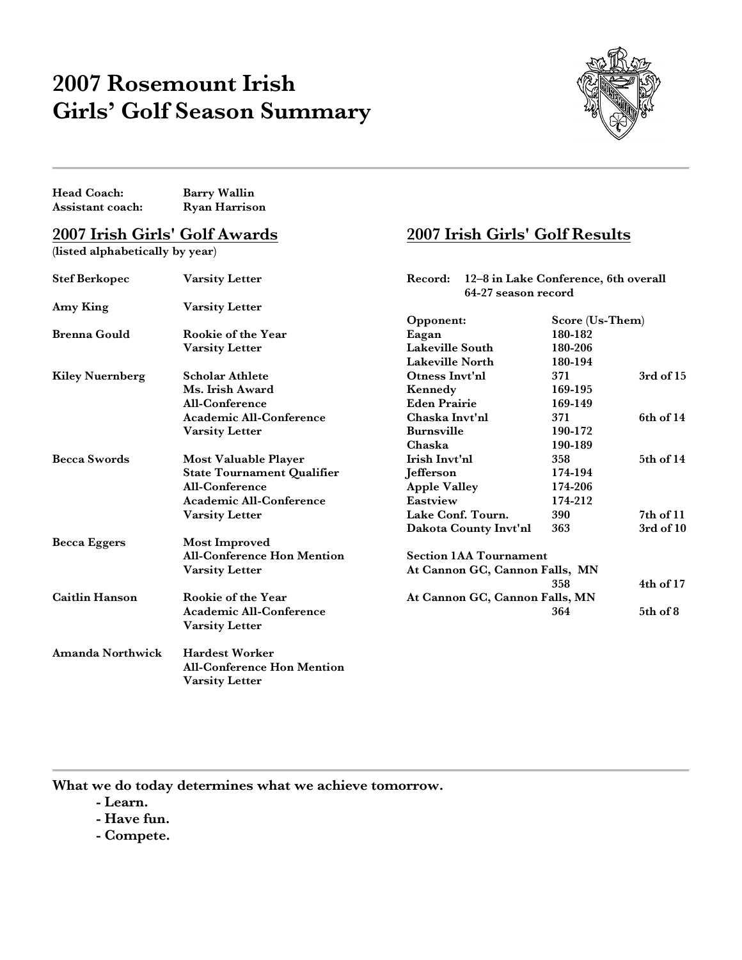## **2007 Rosemount Irish Girls' Golf Season Summary**



| Head Coach:                          | <b>Barry Wallin</b>                                                                 |                                                                        |         |                 |  |
|--------------------------------------|-------------------------------------------------------------------------------------|------------------------------------------------------------------------|---------|-----------------|--|
| Assistant coach:                     | <b>Ryan Harrison</b>                                                                |                                                                        |         |                 |  |
| <u>2007 Irish Girls' Golf Awards</u> |                                                                                     | 2007 Irish Girls' Golf Results                                         |         |                 |  |
| (listed alphabetically by year)      |                                                                                     |                                                                        |         |                 |  |
| <b>Stef Berkopec</b>                 | Varsity Letter                                                                      | 12-8 in Lake Conference, 6th overall<br>Record:<br>64-27 season record |         |                 |  |
| Amy King                             | Varsity Letter                                                                      |                                                                        |         |                 |  |
|                                      |                                                                                     | Opponent:                                                              |         | Score (Us-Them) |  |
| <b>Brenna Gould</b>                  | Rookie of the Year                                                                  | Eagan                                                                  | 180-182 |                 |  |
|                                      | <b>Varsity Letter</b>                                                               | Lakeville South                                                        | 180-206 |                 |  |
|                                      |                                                                                     | <b>Lakeville North</b>                                                 | 180-194 |                 |  |
| <b>Kiley Nuernberg</b>               | <b>Scholar Athlete</b>                                                              | Otness Invt'nl                                                         | 371     | 3rd of 15       |  |
|                                      | Ms. Irish Award                                                                     | Kennedy                                                                | 169-195 |                 |  |
|                                      | All-Conference                                                                      | <b>Eden Prairie</b>                                                    | 169-149 |                 |  |
|                                      | Academic All-Conference                                                             | Chaska Invt'nl                                                         | 371     | 6th of 14       |  |
|                                      | <b>Varsity Letter</b>                                                               | <b>Burnsville</b>                                                      | 190-172 |                 |  |
|                                      |                                                                                     | Chaska                                                                 | 190-189 |                 |  |
| <b>Becca Swords</b>                  | <b>Most Valuable Player</b>                                                         | Irish Invt'nl                                                          | 358     | 5th of 14       |  |
|                                      | <b>State Tournament Qualifier</b>                                                   | Jefferson                                                              | 174-194 |                 |  |
|                                      | All-Conference                                                                      | <b>Apple Valley</b>                                                    | 174-206 |                 |  |
|                                      | <b>Academic All-Conference</b>                                                      | Eastview                                                               | 174-212 |                 |  |
|                                      | <b>Varsity Letter</b>                                                               | Lake Conf. Tourn.                                                      | 390     | $7th$ of $11$   |  |
|                                      |                                                                                     | Dakota County Invt'nl                                                  | 363     | $3rd$ of $10$   |  |
| <b>Becca Eggers</b>                  | <b>Most Improved</b>                                                                |                                                                        |         |                 |  |
|                                      | <b>All-Conference Hon Mention</b>                                                   | <b>Section 1AA Tournament</b>                                          |         |                 |  |
|                                      | <b>Varsity Letter</b>                                                               | At Cannon GC, Cannon Falls, MN                                         |         |                 |  |
|                                      |                                                                                     |                                                                        | 358     | $4th$ of $17$   |  |
| <b>Caitlin Hanson</b>                | Rookie of the Year                                                                  | At Cannon GC, Cannon Falls, MN                                         |         |                 |  |
|                                      | <b>Academic All-Conference</b><br><b>Varsity Letter</b>                             |                                                                        | 364     | 5th of 8        |  |
| <b>Amanda Northwick</b>              | <b>Hardest Worker</b><br><b>All-Conference Hon Mention</b><br><b>Varsity Letter</b> |                                                                        |         |                 |  |

**What we do today determines what we achieve tomorrow.**

- **- Learn.**
- **- Have fun.**
- **- Compete.**